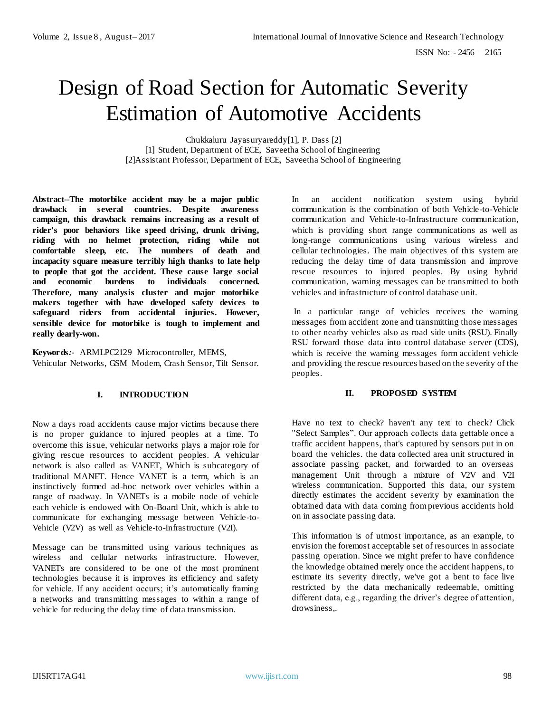# Design of Road Section for Automatic Severity Estimation of Automotive Accidents

Chukkaluru Jayasuryareddy[1], P. Dass [2] [1] Student, Department of ECE, Saveetha School of Engineering [2]Assistant Professor, Department of ECE, Saveetha School of Engineering

**Abstract--The motorbike accident may be a major public drawback in several countries. Despite awareness campaign, this drawback remains increasing as a result of rider's poor behaviors like speed driving, drunk driving, riding with no helmet protection, riding while not comfortable sleep, etc. The numbers of death and incapacity square measure terribly high thanks to late help to people that got the accident. These cause large social and economic burdens to individuals concerned. Therefore, many analysis cluster and major motorbike makers together with have developed safety devices to safeguard riders from accidental injuries. However, sensible device for motorbike is tough to implement and really dearly-won.**

**Keywords***:-* ARMLPC2129 Microcontroller, MEMS, Vehicular Networks, GSM Modem, Crash Sensor, Tilt Sensor.

# **I. INTRODUCTION**

Now a days road accidents cause major victims because there is no proper guidance to injured peoples at a time. To overcome this issue, vehicular networks plays a major role for giving rescue resources to accident peoples. A vehicular network is also called as VANET, Which is subcategory of traditional MANET. Hence VANET is a term, which is an instinctively formed ad-hoc network over vehicles within a range of roadway. In VANETs is a mobile node of vehicle each vehicle is endowed with On-Board Unit, which is able to communicate for exchanging message between Vehicle-to-Vehicle (V2V) as well as Vehicle-to-Infrastructure (V2I).

Message can be transmitted using various techniques as wireless and cellular networks infrastructure. However, VANETs are considered to be one of the most prominent technologies because it is improves its efficiency and safety for vehicle. If any accident occurs; it's automatically framing a networks and transmitting messages to within a range of vehicle for reducing the delay time of data transmission.

In an accident notification system using hybrid communication is the combination of both Vehicle-to-Vehicle communication and Vehicle-to-Infrastructure communication, which is providing short range communications as well as long-range communications using various wireless and cellular technologies. The main objectives of this system are reducing the delay time of data transmission and improve rescue resources to injured peoples. By using hybrid communication, warning messages can be transmitted to both vehicles and infrastructure of control database unit.

In a particular range of vehicles receives the warning messages from accident zone and transmitting those messages to other nearby vehicles also as road side units (RSU). Finally RSU forward those data into control database server (CDS), which is receive the warning messages form accident vehicle and providing the rescue resources based on the severity of the peoples.

#### **II. PROPOSED SYSTEM**

Have no text to check? haven't any text to check? Click "Select Samples". Our approach collects data gettable once a traffic accident happens, that's captured by sensors put in on board the vehicles. the data collected area unit structured in associate passing packet, and forwarded to an overseas management Unit through a mixture of V2V and V2I wireless communication. Supported this data, our system directly estimates the accident severity by examination the obtained data with data coming from previous accidents hold on in associate passing data.

This information is of utmost importance, as an example, to envision the foremost acceptable set of resources in associate passing operation. Since we might prefer to have confidence the knowledge obtained merely once the accident happens, to estimate its severity directly, we've got a bent to face live restricted by the data mechanically redeemable, omitting different data, e.g., regarding the driver's degree of attention, drowsiness,.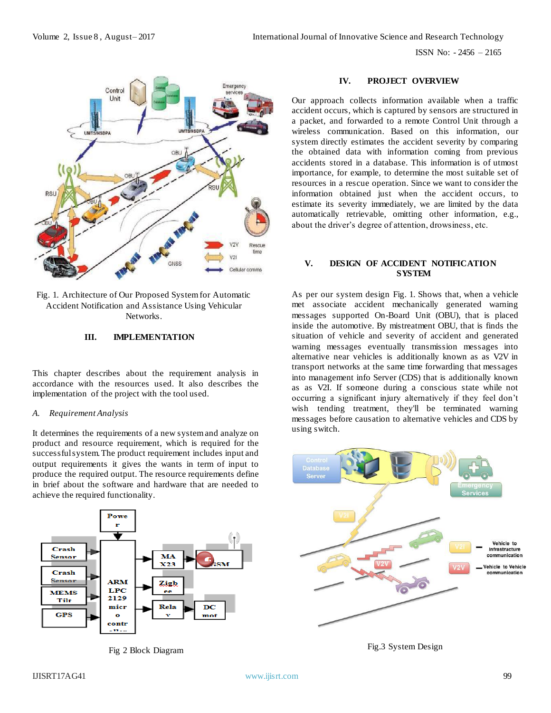ISSN No: - 2456 – 2165



Fig. 1. Architecture of Our Proposed System for Automatic Accident Notification and Assistance Using Vehicular Networks.

# **III. IMPLEMENTATION**

This chapter describes about the requirement analysis in accordance with the resources used. It also describes the implementation of the project with the tool used.

#### *A. Requirement Analysis*

It determines the requirements of a new system and analyze on product and resource requirement, which is required for the successful system. The product requirement includes input and output requirements it gives the wants in term of input to produce the required output. The resource requirements define in brief about the software and hardware that are needed to achieve the required functionality.



Fig 2 Block Diagram

#### **IV. PROJECT OVERVIEW**

Our approach collects information available when a traffic accident occurs, which is captured by sensors are structured in a packet, and forwarded to a remote Control Unit through a wireless communication. Based on this information, our system directly estimates the accident severity by comparing the obtained data with information coming from previous accidents stored in a database. This information is of utmost importance, for example, to determine the most suitable set of resources in a rescue operation. Since we want to consider the information obtained just when the accident occurs, to estimate its severity immediately, we are limited by the data automatically retrievable, omitting other information, e.g., about the driver's degree of attention, drowsiness, etc.

#### **V. DESIGN OF ACCIDENT NOTIFICATION SYSTEM**

As per our system design Fig. 1. Shows that, when a vehicle met associate accident mechanically generated warning messages supported On-Board Unit (OBU), that is placed inside the automotive. By mistreatment OBU, that is finds the situation of vehicle and severity of accident and generated warning messages eventually transmission messages into alternative near vehicles is additionally known as as V2V in transport networks at the same time forwarding that messages into management info Server (CDS) that is additionally known as as V2I. If someone during a conscious state while not occurring a significant injury alternatively if they feel don't wish tending treatment, they'll be terminated warning messages before causation to alternative vehicles and CDS by using switch.



Fig.3 System Design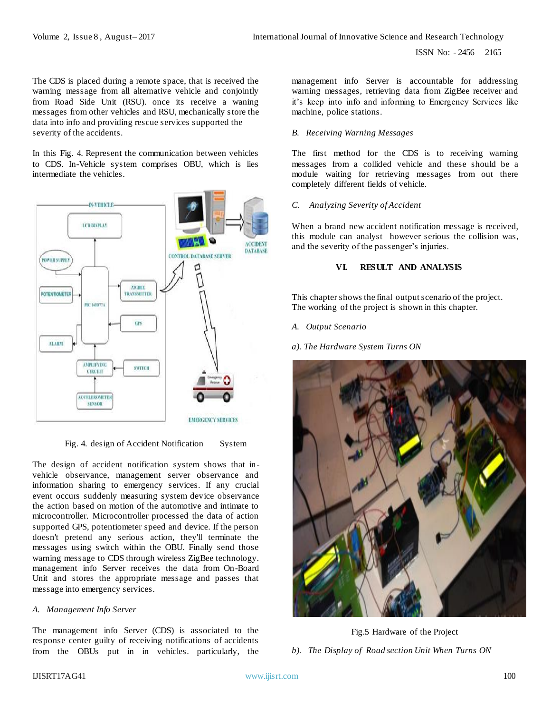The CDS is placed during a remote space, that is received the warning message from all alternative vehicle and conjointly from Road Side Unit (RSU). once its receive a waning messages from other vehicles and RSU, mechanically store the data into info and providing rescue services supported the severity of the accidents.

In this Fig. 4. Represent the communication between vehicles to CDS. In-Vehicle system comprises OBU, which is lies intermediate the vehicles.



Fig. 4. design of Accident Notification System

The design of accident notification system shows that invehicle observance, management server observance and information sharing to emergency services. If any crucial event occurs suddenly measuring system device observance the action based on motion of the automotive and intimate to microcontroller. Microcontroller processed the data of action supported GPS, potentiometer speed and device. If the person doesn't pretend any serious action, they'll terminate the messages using switch within the OBU. Finally send those warning message to CDS through wireless ZigBee technology. management info Server receives the data from On-Board Unit and stores the appropriate message and passes that message into emergency services.

# *A. Management Info Server*

The management info Server (CDS) is associated to the response center guilty of receiving notifications of accidents from the OBUs put in in vehicles. particularly, the management info Server is accountable for addressing warning messages, retrieving data from ZigBee receiver and it's keep into info and informing to Emergency Services like machine, police stations.

#### *B. Receiving Warning Messages*

The first method for the CDS is to receiving warning messages from a collided vehicle and these should be a module waiting for retrieving messages from out there completely different fields of vehicle.

# *C. Analyzing Severity of Accident*

When a brand new accident notification message is received, this module can analyst however serious the collision was, and the severity of the passenger's injuries.

# **VI. RESULT AND ANALYSIS**

This chapter shows the final output scenario of the project. The working of the project is shown in this chapter.

#### *A. Output Scenario*

*a). The Hardware System Turns ON* 



Fig.5 Hardware of the Project

*b). The Display of Road section Unit When Turns ON*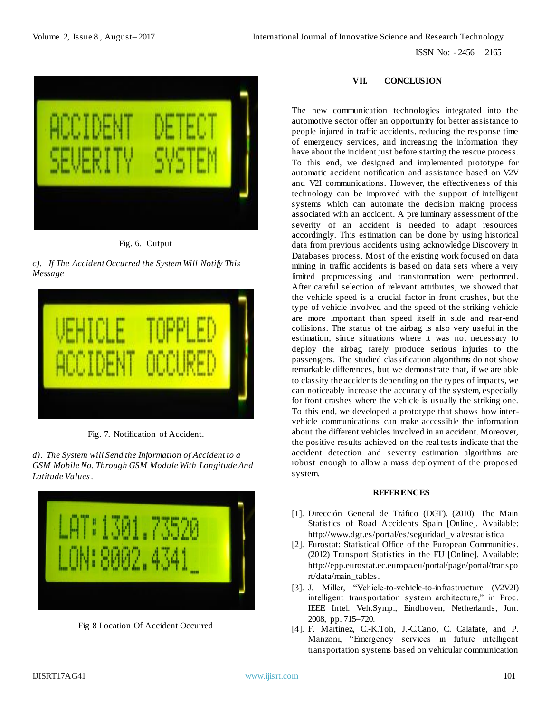ISSN No: - 2456 – 2165



Fig. 6. Output

*c). If The Accident Occurred the System Will Notify This Message*



Fig. 7. Notification of Accident.

*d). The System will Send the Information of Accident to a GSM Mobile No. Through GSM Module With Longitude And Latitude Values .* 



Fig 8 Location Of Accident Occurred

# **VII. CONCLUSION**

The new communication technologies integrated into the automotive sector offer an opportunity for better assistance to people injured in traffic accidents, reducing the response time of emergency services, and increasing the information they have about the incident just before starting the rescue process. To this end, we designed and implemented prototype for automatic accident notification and assistance based on V2V and V2I communications. However, the effectiveness of this technology can be improved with the support of intelligent systems which can automate the decision making process associated with an accident. A pre luminary assessment of the severity of an accident is needed to adapt resources accordingly. This estimation can be done by using historical data from previous accidents using acknowledge Discovery in Databases process. Most of the existing work focused on data mining in traffic accidents is based on data sets where a very limited preprocessing and transformation were performed. After careful selection of relevant attributes, we showed that the vehicle speed is a crucial factor in front crashes, but the type of vehicle involved and the speed of the striking vehicle are more important than speed itself in side and rear-end collisions. The status of the airbag is also very useful in the estimation, since situations where it was not necessary to deploy the airbag rarely produce serious injuries to the passengers. The studied classification algorithms do not show remarkable differences, but we demonstrate that, if we are able to classify the accidents depending on the types of impacts, we can noticeably increase the accuracy of the system, especially for front crashes where the vehicle is usually the striking one. To this end, we developed a prototype that shows how intervehicle communications can make accessible the information about the different vehicles involved in an accident. Moreover, the positive results achieved on the real tests indicate that the accident detection and severity estimation algorithms are robust enough to allow a mass deployment of the proposed system.

# **REFERENCES**

- [1]. Dirección General de Tráfico (DGT). (2010). The Main Statistics of Road Accidents Spain [Online]. Available: http://www.dgt.es/portal/es/seguridad\_vial/estadistica
- [2]. Eurostat: Statistical Office of the European Communities. (2012) Transport Statistics in the EU [Online]. Available: [http://epp.eurostat.ec.europa.eu/portal/page/portal/transpo](http://epp.eurostat.ec.europa.eu/portal/page/portal/transport/data/main_tables) [rt/data/main\\_tables](http://epp.eurostat.ec.europa.eu/portal/page/portal/transport/data/main_tables).
- [3]. J. Miller, "Vehicle-to-vehicle-to-infrastructure (V2V2I) intelligent transportation system architecture," in Proc. IEEE Intel. Veh.Symp., Eindhoven, Netherlands, Jun. 2008, pp. 715–720.
- [4]. F. Martinez, C.-K.Toh, J.-C.Cano, C. Calafate, and P. Manzoni, "Emergency services in future intelligent transportation systems based on vehicular communication